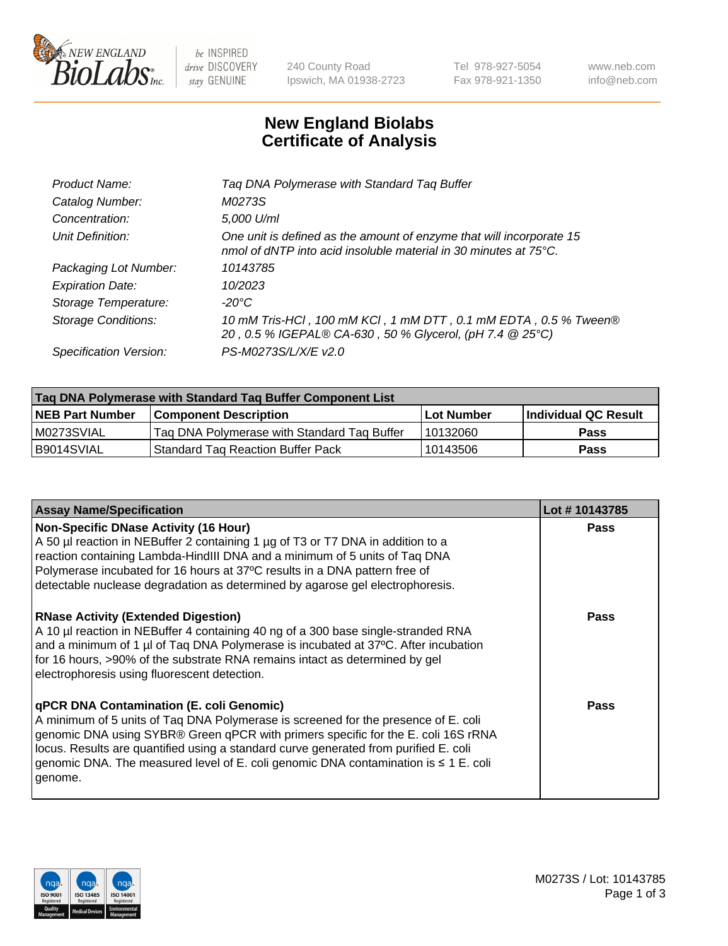

 $be$  INSPIRED drive DISCOVERY stay GENUINE

240 County Road Ipswich, MA 01938-2723 Tel 978-927-5054 Fax 978-921-1350 www.neb.com info@neb.com

## **New England Biolabs Certificate of Analysis**

| Tag DNA Polymerase with Standard Tag Buffer                                                                                              |
|------------------------------------------------------------------------------------------------------------------------------------------|
| M0273S                                                                                                                                   |
| 5,000 U/ml                                                                                                                               |
| One unit is defined as the amount of enzyme that will incorporate 15<br>nmol of dNTP into acid insoluble material in 30 minutes at 75°C. |
| 10143785                                                                                                                                 |
| 10/2023                                                                                                                                  |
| $-20^{\circ}$ C                                                                                                                          |
| 10 mM Tris-HCl, 100 mM KCl, 1 mM DTT, 0.1 mM EDTA, 0.5 % Tween®<br>20, 0.5 % IGEPAL® CA-630, 50 % Glycerol, (pH 7.4 @ 25°C)              |
| PS-M0273S/L/X/E v2.0                                                                                                                     |
|                                                                                                                                          |

| Tag DNA Polymerase with Standard Tag Buffer Component List |                                             |                   |                      |  |  |
|------------------------------------------------------------|---------------------------------------------|-------------------|----------------------|--|--|
| <b>NEB Part Number</b>                                     | Component Description_                      | <b>Lot Number</b> | Individual QC Result |  |  |
| M0273SVIAL                                                 | Tag DNA Polymerase with Standard Tag Buffer | 10132060          | Pass                 |  |  |
| B9014SVIAL                                                 | <b>Standard Tag Reaction Buffer Pack</b>    | 10143506          | <b>Pass</b>          |  |  |

| <b>Assay Name/Specification</b>                                                                                                                                                                                                                                                                                                                                                                               | Lot #10143785 |
|---------------------------------------------------------------------------------------------------------------------------------------------------------------------------------------------------------------------------------------------------------------------------------------------------------------------------------------------------------------------------------------------------------------|---------------|
| <b>Non-Specific DNase Activity (16 Hour)</b><br>A 50 µl reaction in NEBuffer 2 containing 1 µg of T3 or T7 DNA in addition to a<br>reaction containing Lambda-HindIII DNA and a minimum of 5 units of Taq DNA<br>Polymerase incubated for 16 hours at 37°C results in a DNA pattern free of<br>detectable nuclease degradation as determined by agarose gel electrophoresis.                                  | Pass          |
| <b>RNase Activity (Extended Digestion)</b><br>A 10 µl reaction in NEBuffer 4 containing 40 ng of a 300 base single-stranded RNA<br>and a minimum of 1 µl of Taq DNA Polymerase is incubated at 37°C. After incubation<br>for 16 hours, >90% of the substrate RNA remains intact as determined by gel<br>electrophoresis using fluorescent detection.                                                          | Pass          |
| qPCR DNA Contamination (E. coli Genomic)<br>A minimum of 5 units of Taq DNA Polymerase is screened for the presence of E. coli<br>genomic DNA using SYBR® Green qPCR with primers specific for the E. coli 16S rRNA<br>locus. Results are quantified using a standard curve generated from purified E. coli<br>genomic DNA. The measured level of E. coli genomic DNA contamination is ≤ 1 E. coli<br>genome. | Pass          |

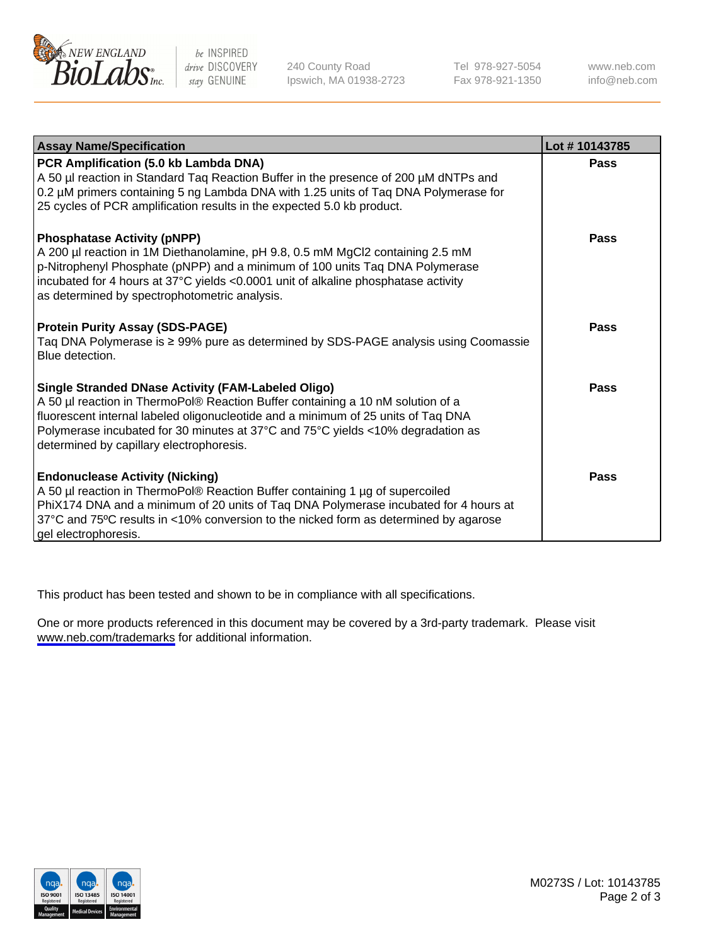

be INSPIRED drive DISCOVERY stay GENUINE

240 County Road Ipswich, MA 01938-2723 Tel 978-927-5054 Fax 978-921-1350

www.neb.com info@neb.com

| <b>Assay Name/Specification</b>                                                                                                                                                                                                                                                                                                                                  | Lot #10143785 |
|------------------------------------------------------------------------------------------------------------------------------------------------------------------------------------------------------------------------------------------------------------------------------------------------------------------------------------------------------------------|---------------|
| PCR Amplification (5.0 kb Lambda DNA)<br>A 50 µl reaction in Standard Tag Reaction Buffer in the presence of 200 µM dNTPs and<br>0.2 µM primers containing 5 ng Lambda DNA with 1.25 units of Taq DNA Polymerase for<br>25 cycles of PCR amplification results in the expected 5.0 kb product.                                                                   | <b>Pass</b>   |
| <b>Phosphatase Activity (pNPP)</b><br>A 200 µl reaction in 1M Diethanolamine, pH 9.8, 0.5 mM MgCl2 containing 2.5 mM<br>p-Nitrophenyl Phosphate (pNPP) and a minimum of 100 units Taq DNA Polymerase<br>incubated for 4 hours at 37°C yields <0.0001 unit of alkaline phosphatase activity<br>as determined by spectrophotometric analysis.                      | <b>Pass</b>   |
| <b>Protein Purity Assay (SDS-PAGE)</b><br>Taq DNA Polymerase is ≥ 99% pure as determined by SDS-PAGE analysis using Coomassie<br>Blue detection.                                                                                                                                                                                                                 | <b>Pass</b>   |
| <b>Single Stranded DNase Activity (FAM-Labeled Oligo)</b><br>A 50 µl reaction in ThermoPol® Reaction Buffer containing a 10 nM solution of a<br>fluorescent internal labeled oligonucleotide and a minimum of 25 units of Taq DNA<br>Polymerase incubated for 30 minutes at 37°C and 75°C yields <10% degradation as<br>determined by capillary electrophoresis. | <b>Pass</b>   |
| <b>Endonuclease Activity (Nicking)</b><br>A 50 µl reaction in ThermoPol® Reaction Buffer containing 1 µg of supercoiled<br>PhiX174 DNA and a minimum of 20 units of Taq DNA Polymerase incubated for 4 hours at<br>37°C and 75°C results in <10% conversion to the nicked form as determined by agarose<br>gel electrophoresis.                                  | <b>Pass</b>   |

This product has been tested and shown to be in compliance with all specifications.

One or more products referenced in this document may be covered by a 3rd-party trademark. Please visit <www.neb.com/trademarks>for additional information.